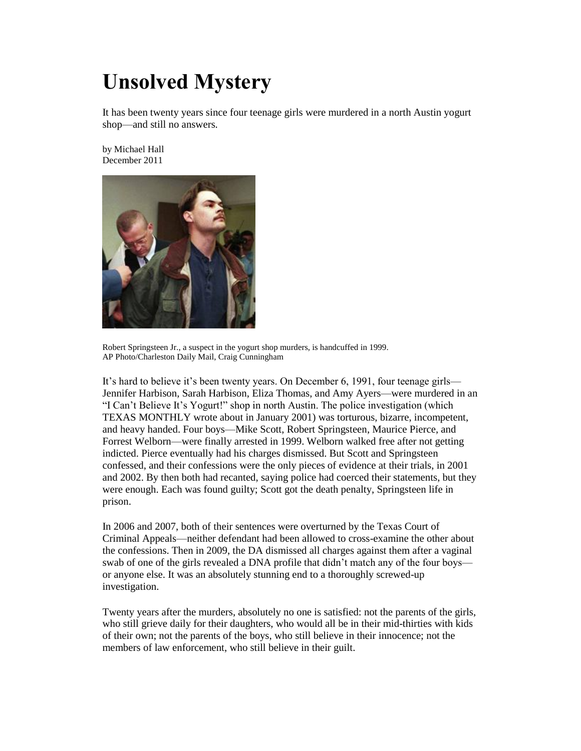## **Unsolved Mystery**

It has been twenty years since four teenage girls were murdered in a north Austin yogurt shop—and still no answers.

by Michael Hall December 2011



Robert Springsteen Jr., a suspect in the yogurt shop murders, is handcuffed in 1999. AP Photo/Charleston Daily Mail, Craig Cunningham

It's hard to believe it's been twenty years. On December 6, 1991, four teenage girls— Jennifer Harbison, Sarah Harbison, Eliza Thomas, and Amy Ayers—were murdered in an "I Can't Believe It's Yogurt!" shop in north Austin. The police investigation (which TEXAS MONTHLY wrote about in January 2001) was torturous, bizarre, incompetent, and heavy handed. Four boys—Mike Scott, Robert Springsteen, Maurice Pierce, and Forrest Welborn—were finally arrested in 1999. Welborn walked free after not getting indicted. Pierce eventually had his charges dismissed. But Scott and Springsteen confessed, and their confessions were the only pieces of evidence at their trials, in 2001 and 2002. By then both had recanted, saying police had coerced their statements, but they were enough. Each was found guilty; Scott got the death penalty, Springsteen life in prison.

In 2006 and 2007, both of their sentences were overturned by the Texas Court of Criminal Appeals—neither defendant had been allowed to cross-examine the other about the confessions. Then in 2009, the DA dismissed all charges against them after a vaginal swab of one of the girls revealed a DNA profile that didn't match any of the four boys or anyone else. It was an absolutely stunning end to a thoroughly screwed-up investigation.

Twenty years after the murders, absolutely no one is satisfied: not the parents of the girls, who still grieve daily for their daughters, who would all be in their mid-thirties with kids of their own; not the parents of the boys, who still believe in their innocence; not the members of law enforcement, who still believe in their guilt.